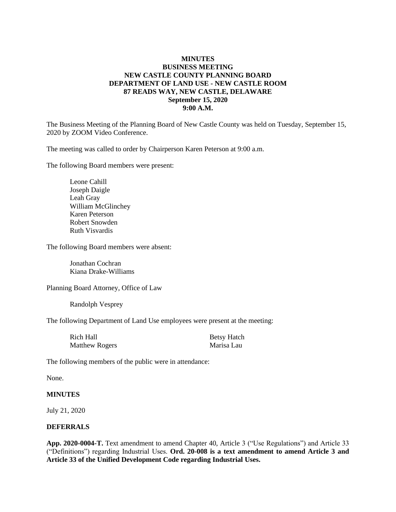## **MINUTES BUSINESS MEETING NEW CASTLE COUNTY PLANNING BOARD DEPARTMENT OF LAND USE - NEW CASTLE ROOM 87 READS WAY, NEW CASTLE, DELAWARE September 15, 2020 9:00 A.M.**

The Business Meeting of the Planning Board of New Castle County was held on Tuesday, September 15, 2020 by ZOOM Video Conference.

The meeting was called to order by Chairperson Karen Peterson at 9:00 a.m.

The following Board members were present:

Leone Cahill Joseph Daigle Leah Gray William McGlinchey Karen Peterson Robert Snowden Ruth Visvardis

The following Board members were absent:

Jonathan Cochran Kiana Drake-Williams

Planning Board Attorney, Office of Law

Randolph Vesprey

The following Department of Land Use employees were present at the meeting:

| Rich Hall             | <b>Betsy Hatch</b> |
|-----------------------|--------------------|
| <b>Matthew Rogers</b> | Marisa Lau         |

The following members of the public were in attendance:

None.

#### **MINUTES**

July 21, 2020

#### **DEFERRALS**

**App. 2020-0004-T.** Text amendment to amend Chapter 40, Article 3 ("Use Regulations") and Article 33 ("Definitions") regarding Industrial Uses. **Ord. 20-008 is a text amendment to amend Article 3 and Article 33 of the Unified Development Code regarding Industrial Uses.**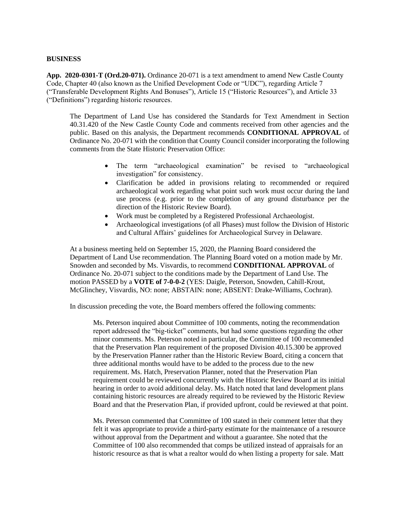#### **BUSINESS**

**App. 2020-0301-T (Ord.20-071).** Ordinance 20-071 is a text amendment to amend New Castle County Code, Chapter 40 (also known as the Unified Development Code or "UDC"), regarding Article 7 ("Transferable Development Rights And Bonuses"), Article 15 ("Historic Resources"), and Article 33 ("Definitions") regarding historic resources.

The Department of Land Use has considered the Standards for Text Amendment in Section 40.31.420 of the New Castle County Code and comments received from other agencies and the public. Based on this analysis, the Department recommends **CONDITIONAL APPROVAL** of Ordinance No. 20-071 with the condition that County Council consider incorporating the following comments from the State Historic Preservation Office:

- The term "archaeological examination" be revised to "archaeological investigation" for consistency.
- Clarification be added in provisions relating to recommended or required archaeological work regarding what point such work must occur during the land use process (e.g. prior to the completion of any ground disturbance per the direction of the Historic Review Board).
- Work must be completed by a Registered Professional Archaeologist.
- Archaeological investigations (of all Phases) must follow the Division of Historic and Cultural Affairs' guidelines for Archaeological Survey in Delaware.

At a business meeting held on September 15, 2020, the Planning Board considered the Department of Land Use recommendation. The Planning Board voted on a motion made by Mr. Snowden and seconded by Ms. Visvardis, to recommend **CONDITIONAL APPROVAL** of Ordinance No. 20-071 subject to the conditions made by the Department of Land Use. The motion PASSED by a **VOTE of 7-0-0-2** (YES: Daigle, Peterson, Snowden, Cahill-Krout, McGlinchey, Visvardis, NO: none; ABSTAIN: none; ABSENT: Drake-Williams, Cochran).

In discussion preceding the vote, the Board members offered the following comments:

Ms. Peterson inquired about Committee of 100 comments, noting the recommendation report addressed the "big-ticket" comments, but had some questions regarding the other minor comments. Ms. Peterson noted in particular, the Committee of 100 recommended that the Preservation Plan requirement of the proposed Division 40.15.300 be approved by the Preservation Planner rather than the Historic Review Board, citing a concern that three additional months would have to be added to the process due to the new requirement. Ms. Hatch, Preservation Planner, noted that the Preservation Plan requirement could be reviewed concurrently with the Historic Review Board at its initial hearing in order to avoid additional delay. Ms. Hatch noted that land development plans containing historic resources are already required to be reviewed by the Historic Review Board and that the Preservation Plan, if provided upfront, could be reviewed at that point.

Ms. Peterson commented that Committee of 100 stated in their comment letter that they felt it was appropriate to provide a third-party estimate for the maintenance of a resource without approval from the Department and without a guarantee. She noted that the Committee of 100 also recommended that comps be utilized instead of appraisals for an historic resource as that is what a realtor would do when listing a property for sale. Matt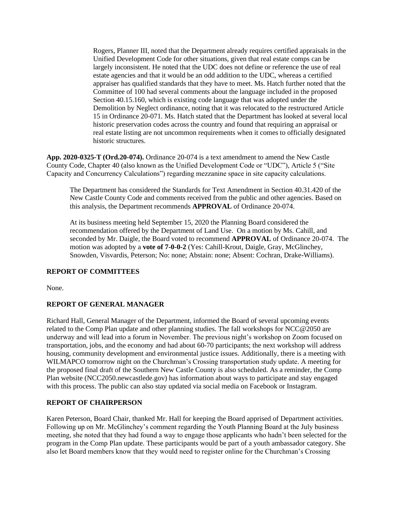Rogers, Planner III, noted that the Department already requires certified appraisals in the Unified Development Code for other situations, given that real estate comps can be largely inconsistent. He noted that the UDC does not define or reference the use of real estate agencies and that it would be an odd addition to the UDC, whereas a certified appraiser has qualified standards that they have to meet. Ms. Hatch further noted that the Committee of 100 had several comments about the language included in the proposed Section 40.15.160, which is existing code language that was adopted under the Demolition by Neglect ordinance, noting that it was relocated to the restructured Article 15 in Ordinance 20-071. Ms. Hatch stated that the Department has looked at several local historic preservation codes across the country and found that requiring an appraisal or real estate listing are not uncommon requirements when it comes to officially designated historic structures.

**App. 2020-0325-T (Ord.20-074).** Ordinance 20-074 is a text amendment to amend the New Castle County Code, Chapter 40 (also known as the Unified Development Code or "UDC"), Article 5 ("Site Capacity and Concurrency Calculations") regarding mezzanine space in site capacity calculations.

The Department has considered the Standards for Text Amendment in Section 40.31.420 of the New Castle County Code and comments received from the public and other agencies. Based on this analysis, the Department recommends **APPROVAL** of Ordinance 20-074.

At its business meeting held September 15, 2020 the Planning Board considered the recommendation offered by the Department of Land Use. On a motion by Ms. Cahill, and seconded by Mr. Daigle, the Board voted to recommend **APPROVAL** of Ordinance 20-074. The motion was adopted by a **vote of 7-0-0-2** (Yes: Cahill-Krout, Daigle, Gray, McGlinchey, Snowden, Visvardis, Peterson; No: none; Abstain: none; Absent: Cochran, Drake-Williams).

#### **REPORT OF COMMITTEES**

None.

## **REPORT OF GENERAL MANAGER**

Richard Hall, General Manager of the Department, informed the Board of several upcoming events related to the Comp Plan update and other planning studies. The fall workshops for NCC@2050 are underway and will lead into a forum in November. The previous night's workshop on Zoom focused on transportation, jobs, and the economy and had about 60-70 participants; the next workshop will address housing, community development and environmental justice issues. Additionally, there is a meeting with WILMAPCO tomorrow night on the Churchman's Crossing transportation study update. A meeting for the proposed final draft of the Southern New Castle County is also scheduled. As a reminder, the Comp Plan website (NCC2050.newcastlede.gov) has information about ways to participate and stay engaged with this process. The public can also stay updated via social media on Facebook or Instagram.

#### **REPORT OF CHAIRPERSON**

Karen Peterson, Board Chair, thanked Mr. Hall for keeping the Board apprised of Department activities. Following up on Mr. McGlinchey's comment regarding the Youth Planning Board at the July business meeting, she noted that they had found a way to engage those applicants who hadn't been selected for the program in the Comp Plan update. These participants would be part of a youth ambassador category. She also let Board members know that they would need to register online for the Churchman's Crossing